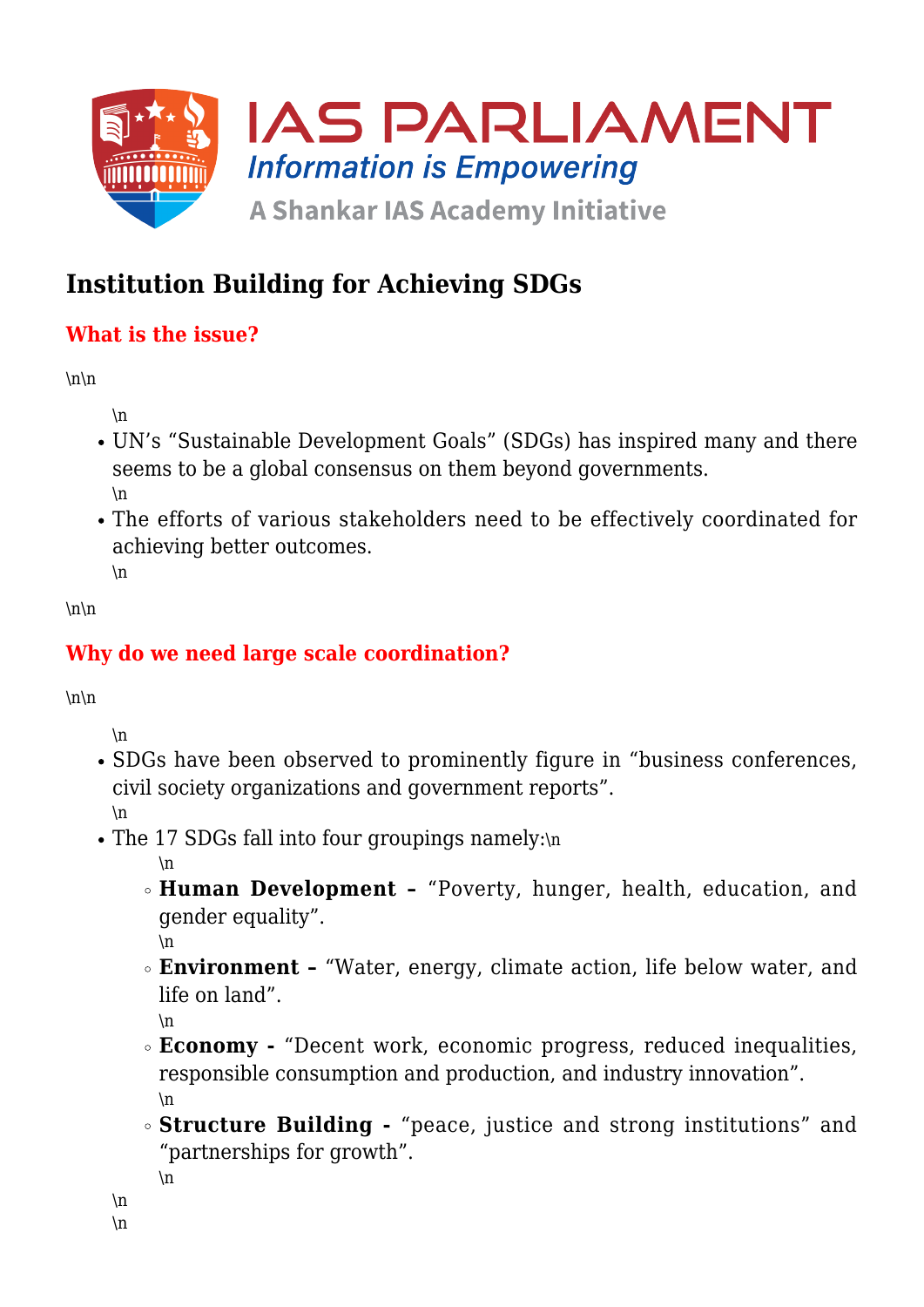

# **Institution Building for Achieving SDGs**

## **What is the issue?**

 $\ln\$ 

\n

- UN's "Sustainable Development Goals" (SDGs) has inspired many and there seems to be a global consensus on them beyond governments.  $\ln$
- The efforts of various stakeholders need to be effectively coordinated for achieving better outcomes. \n

 $\ln\$ 

## **Why do we need large scale coordination?**

 $\ln\$ 

\n

- SDGs have been observed to prominently figure in "business conferences, civil society organizations and government reports". \n
- The 17 SDGs fall into four groupings namely:\n

\n

**Human Development –** "Poverty, hunger, health, education, and gender equality".

\n

**Environment –** "Water, energy, climate action, life below water, and life on land".

\n

- **Economy -** "Decent work, economic progress, reduced inequalities, responsible consumption and production, and industry innovation". \n
- **Structure Building -** "peace, justice and strong institutions" and "partnerships for growth".

```
\ln
```

```
\n
\n
```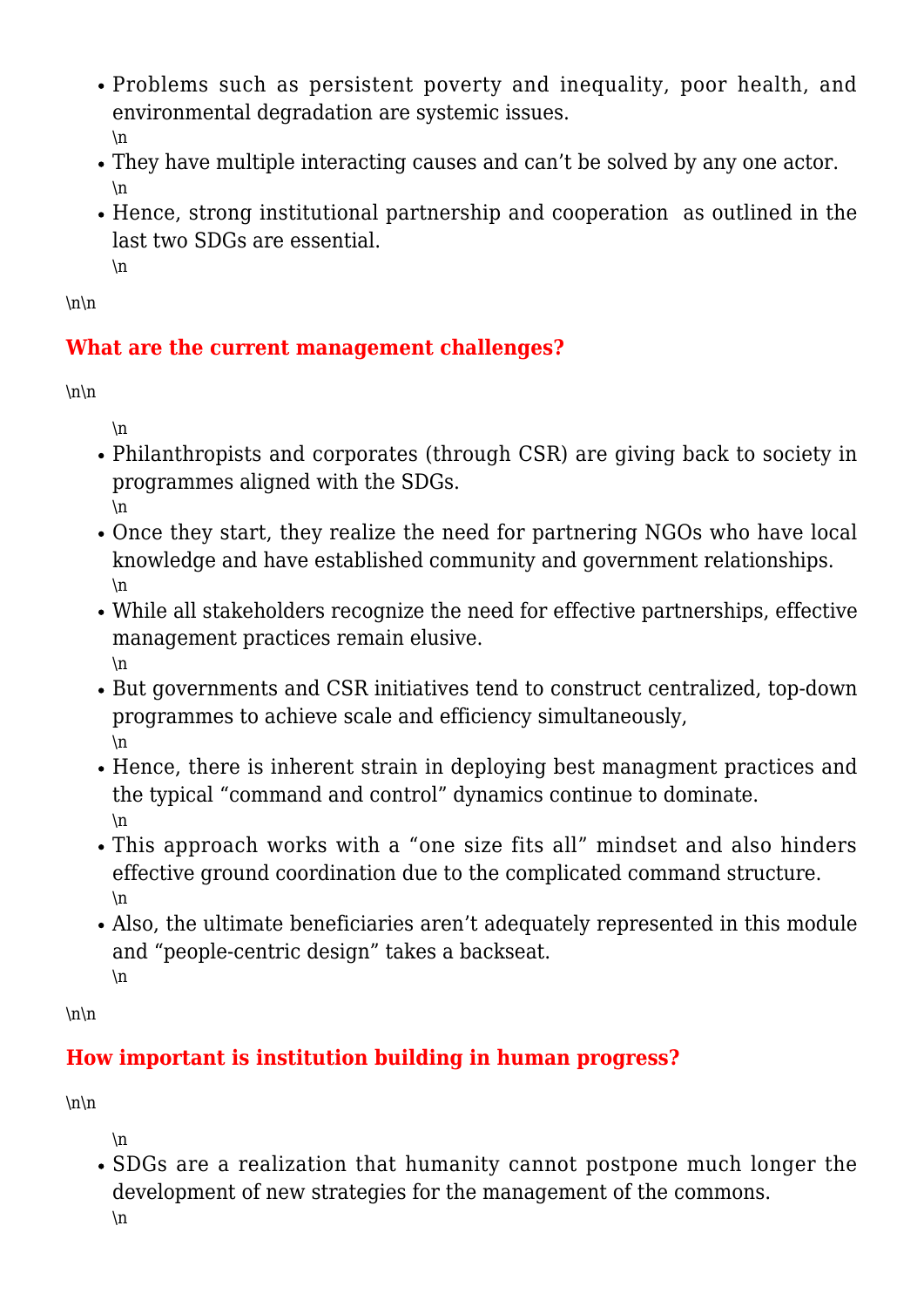- Problems such as persistent poverty and inequality, poor health, and environmental degradation are systemic issues. \n
- They have multiple interacting causes and can't be solved by any one actor. \n
- Hence, strong institutional partnership and cooperation as outlined in the last two SDGs are essential. \n

 $\ln\$ 

### **What are the current management challenges?**

 $\ln\$ 

 $\ln$ 

- Philanthropists and corporates (through CSR) are giving back to society in programmes aligned with the SDGs. \n
- Once they start, they realize the need for partnering NGOs who have local knowledge and have established community and government relationships. \n
- While all stakeholders recognize the need for effective partnerships, effective management practices remain elusive. \n
- But governments and CSR initiatives tend to construct centralized, top-down programmes to achieve scale and efficiency simultaneously, \n
- Hence, there is inherent strain in deploying best managment practices and the typical "command and control" dynamics continue to dominate. \n
- This approach works with a "one size fits all" mindset and also hinders effective ground coordination due to the complicated command structure.  $\ln$
- Also, the ultimate beneficiaries aren't adequately represented in this module and "people-centric design" takes a backseat. \n

 $\ln\$ 

## **How important is institution building in human progress?**

 $\ln\$ 

\n

• SDGs are a realization that humanity cannot postpone much longer the development of new strategies for the management of the commons. \n